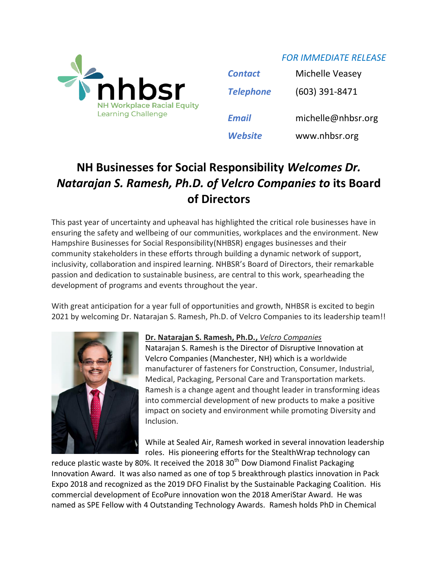

| <b>Contact</b>   | Michelle Veasey    |
|------------------|--------------------|
| <b>Telephone</b> | (603) 391-8471     |
| Email            | michelle@nhbsr.org |

*FOR IMMEDIATE RELEASE*

*Website* www.nhbsr.org

## **NH Businesses for Social Responsibility** *Welcomes Dr. Natarajan S. Ramesh, Ph.D. of Velcro Companies to* **its Board of Directors**

This past year of uncertainty and upheaval has highlighted the critical role businesses have in ensuring the safety and wellbeing of our communities, workplaces and the environment. New Hampshire Businesses for Social Responsibility(NHBSR) engages businesses and their community stakeholders in these efforts through building a dynamic network of support, inclusivity, collaboration and inspired learning. NHBSR's Board of Directors, their remarkable passion and dedication to sustainable business, are central to this work, spearheading the development of programs and events throughout the year.

With great anticipation for a year full of opportunities and growth, NHBSR is excited to begin 2021 by welcoming Dr. Natarajan S. Ramesh, Ph.D. of Velcro Companies to its leadership team!!



## **Dr. Natarajan S. Ramesh, Ph.D.,** *Velcro Companies*

Natarajan S. Ramesh is the Director of Disruptive Innovation at Velcro Companies (Manchester, NH) which is a worldwide manufacturer of fasteners for Construction, Consumer, Industrial, Medical, Packaging, Personal Care and Transportation markets. Ramesh is a change agent and thought leader in transforming ideas into commercial development of new products to make a positive impact on society and environment while promoting Diversity and Inclusion.

While at Sealed Air, Ramesh worked in several innovation leadership roles. His pioneering efforts for the StealthWrap technology can

reduce plastic waste by 80%. It received the 2018  $30<sup>th</sup>$  Dow Diamond Finalist Packaging Innovation Award. It was also named as one of top 5 breakthrough plastics innovation in Pack Expo 2018 and recognized as the 2019 DFO Finalist by the Sustainable Packaging Coalition. His commercial development of EcoPure innovation won the 2018 AmeriStar Award. He was named as SPE Fellow with 4 Outstanding Technology Awards. Ramesh holds PhD in Chemical